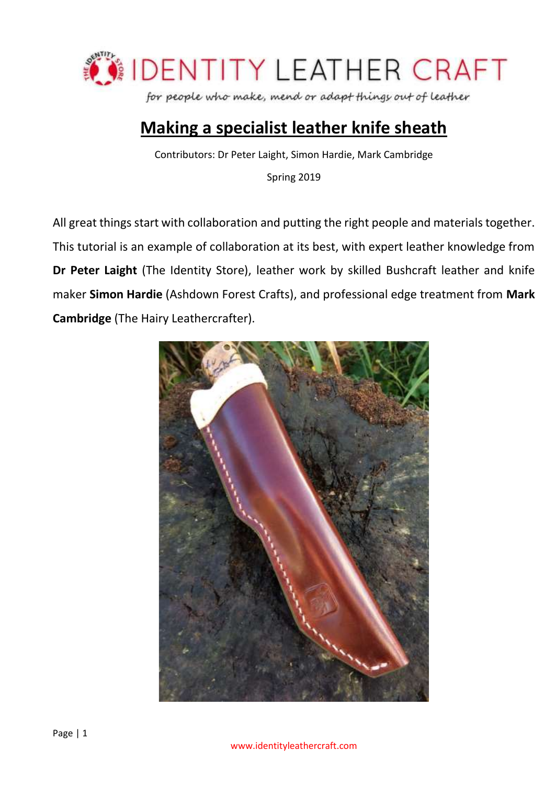

for people who make, mend or adapt things out of leather

# **Making a specialist leather knife sheath**

Contributors: Dr Peter Laight, Simon Hardie, Mark Cambridge Spring 2019

All great things start with collaboration and putting the right people and materials together. This tutorial is an example of collaboration at its best, with expert leather knowledge from **Dr Peter Laight** (The Identity Store), leather work by skilled Bushcraft leather and knife maker **Simon Hardie** (Ashdown Forest Crafts), and professional edge treatment from **Mark Cambridge** (The Hairy Leathercrafter).

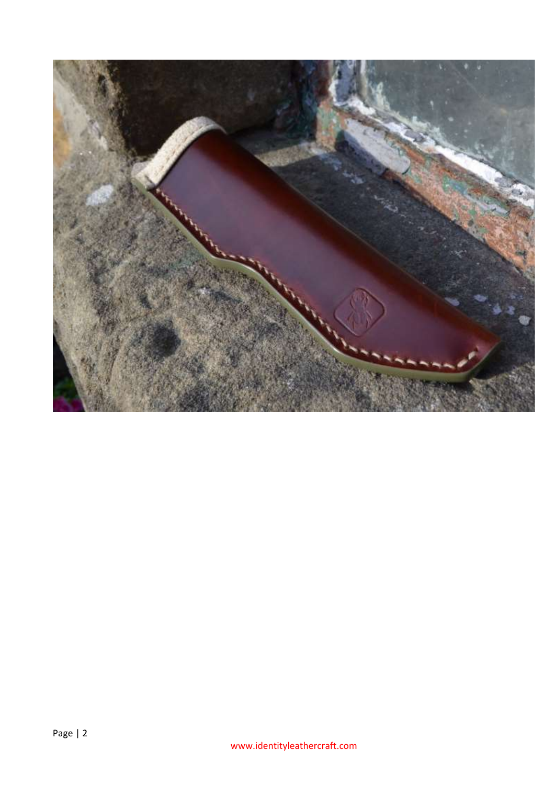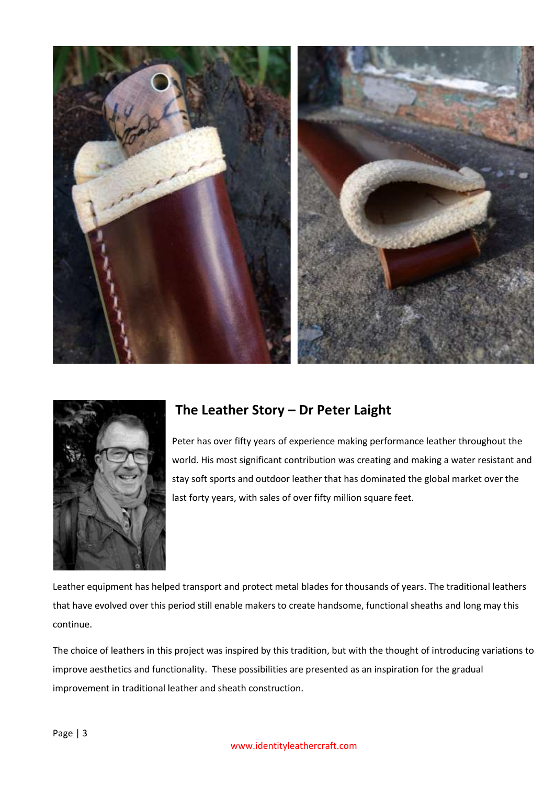



## **The Leather Story – Dr Peter Laight**

Peter has over fifty years of experience making performance leather throughout the world. His most significant contribution was creating and making a water resistant and stay soft sports and outdoor leather that has dominated the global market over the last forty years, with sales of over fifty million square feet.

Leather equipment has helped transport and protect metal blades for thousands of years. The traditional leathers that have evolved over this period still enable makers to create handsome, functional sheaths and long may this continue.

The choice of leathers in this project was inspired by this tradition, but with the thought of introducing variations to improve aesthetics and functionality. These possibilities are presented as an inspiration for the gradual improvement in traditional leather and sheath construction.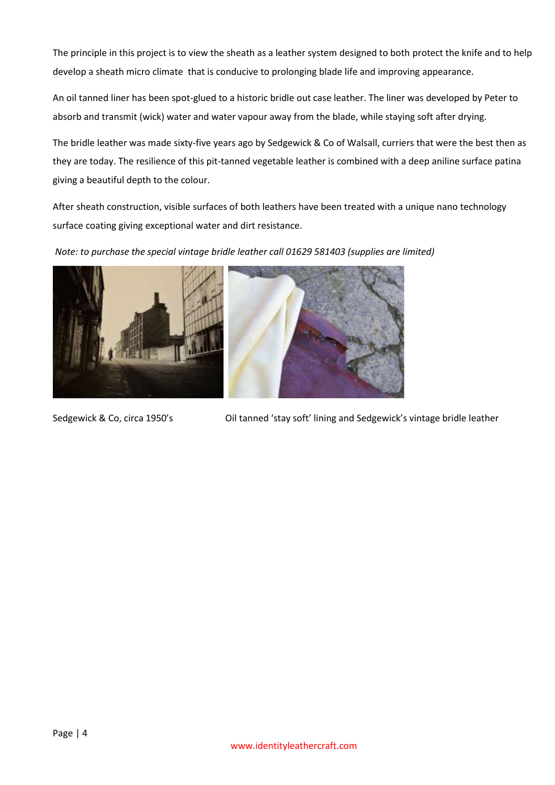The principle in this project is to view the sheath as a leather system designed to both protect the knife and to help develop a sheath micro climate that is conducive to prolonging blade life and improving appearance.

An oil tanned liner has been spot-glued to a historic bridle out case leather. The liner was developed by Peter to absorb and transmit (wick) water and water vapour away from the blade, while staying soft after drying.

The bridle leather was made sixty-five years ago by Sedgewick & Co of Walsall, curriers that were the best then as they are today. The resilience of this pit-tanned vegetable leather is combined with a deep aniline surface patina giving a beautiful depth to the colour.

After sheath construction, visible surfaces of both leathers have been treated with a unique nano technology surface coating giving exceptional water and dirt resistance.

*Note: to purchase the special vintage bridle leather call 01629 581403 (supplies are limited)* 





Sedgewick & Co, circa 1950's **Oil tanned 'stay soft' lining and Sedgewick's vintage bridle leather**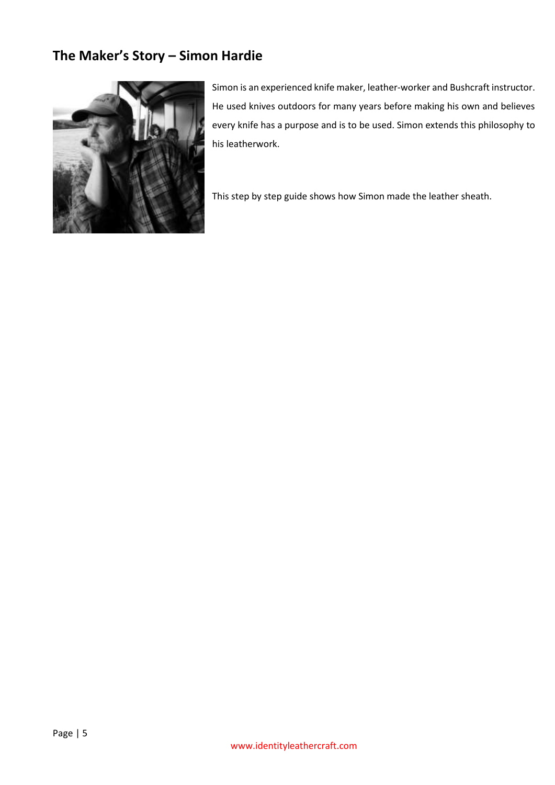## **The Maker's Story – Simon Hardie**



Simon is an experienced knife maker, leather-worker and Bushcraft instructor. He used knives outdoors for many years before making his own and believes every knife has a purpose and is to be used. Simon extends this philosophy to his leatherwork.

This step by step guide shows how Simon made the leather sheath.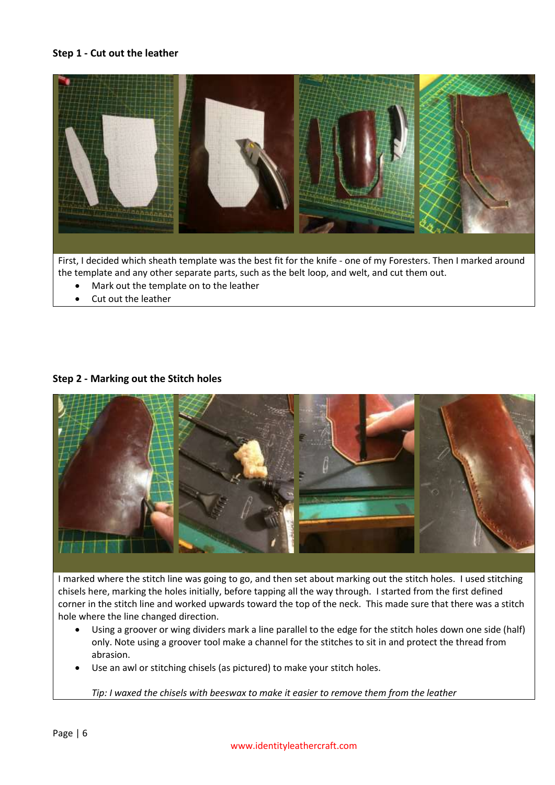## **Step 1 - Cut out the leather**



First, I decided which sheath template was the best fit for the knife - one of my Foresters. Then I marked around the template and any other separate parts, such as the belt loop, and welt, and cut them out.

- Mark out the template on to the leather
- Cut out the leather

## **Step 2 - Marking out the Stitch holes**



I marked where the stitch line was going to go, and then set about marking out the stitch holes. I used stitching chisels here, marking the holes initially, before tapping all the way through. I started from the first defined corner in the stitch line and worked upwards toward the top of the neck. This made sure that there was a stitch hole where the line changed direction.

- Using a groover or wing dividers mark a line parallel to the edge for the stitch holes down one side (half) only. Note using a groover tool make a channel for the stitches to sit in and protect the thread from abrasion.
- Use an awl or stitching chisels (as pictured) to make your stitch holes.

*Tip: I waxed the chisels with beeswax to make it easier to remove them from the leather*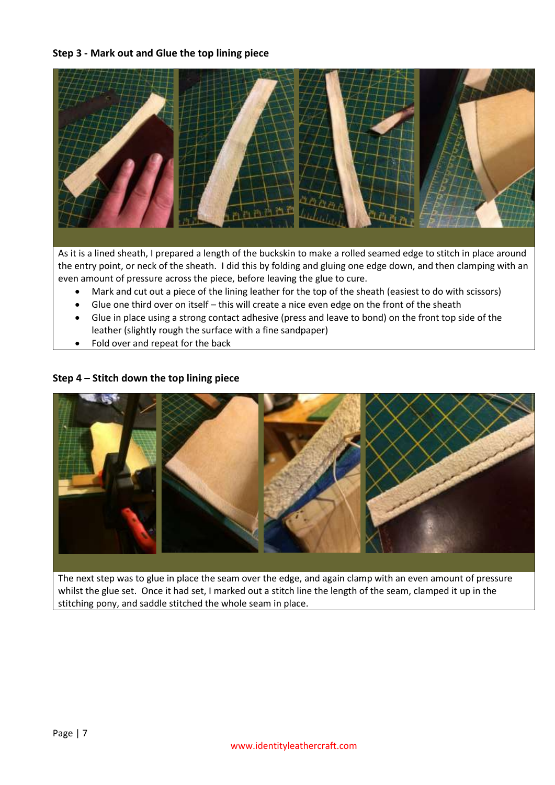## **Step 3 - Mark out and Glue the top lining piece**



As it is a lined sheath, I prepared a length of the buckskin to make a rolled seamed edge to stitch in place around the entry point, or neck of the sheath. I did this by folding and gluing one edge down, and then clamping with an even amount of pressure across the piece, before leaving the glue to cure.

- Mark and cut out a piece of the lining leather for the top of the sheath (easiest to do with scissors)
- Glue one third over on itself this will create a nice even edge on the front of the sheath
- Glue in place using a strong contact adhesive (press and leave to bond) on the front top side of the leather (slightly rough the surface with a fine sandpaper)
- Fold over and repeat for the back

## **Step 4 – Stitch down the top lining piece**



The next step was to glue in place the seam over the edge, and again clamp with an even amount of pressure whilst the glue set. Once it had set, I marked out a stitch line the length of the seam, clamped it up in the stitching pony, and saddle stitched the whole seam in place.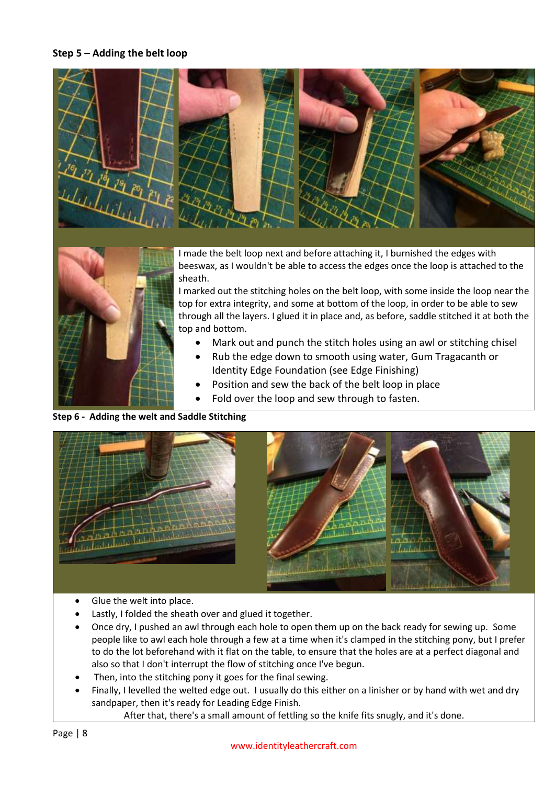## **Step 5 – Adding the belt loop**





I made the belt loop next and before attaching it, I burnished the edges with beeswax, as I wouldn't be able to access the edges once the loop is attached to the sheath.

I marked out the stitching holes on the belt loop, with some inside the loop near the top for extra integrity, and some at bottom of the loop, in order to be able to sew through all the layers. I glued it in place and, as before, saddle stitched it at both the top and bottom.

- Mark out and punch the stitch holes using an awl or stitching chisel
- Rub the edge down to smooth using water, Gum Tragacanth or Identity Edge Foundation (see Edge Finishing)
- Position and sew the back of the belt loop in place
- Fold over the loop and sew through to fasten.

## **Step 6 - Adding the welt and Saddle Stitching**



- Glue the welt into place.
- Lastly, I folded the sheath over and glued it together.
- Once dry, I pushed an awl through each hole to open them up on the back ready for sewing up. Some people like to awl each hole through a few at a time when it's clamped in the stitching pony, but I prefer to do the lot beforehand with it flat on the table, to ensure that the holes are at a perfect diagonal and also so that I don't interrupt the flow of stitching once I've begun.
- Then, into the stitching pony it goes for the final sewing.
- Finally, I levelled the welted edge out. I usually do this either on a linisher or by hand with wet and dry sandpaper, then it's ready for Leading Edge Finish.

After that, there's a small amount of fettling so the knife fits snugly, and it's done.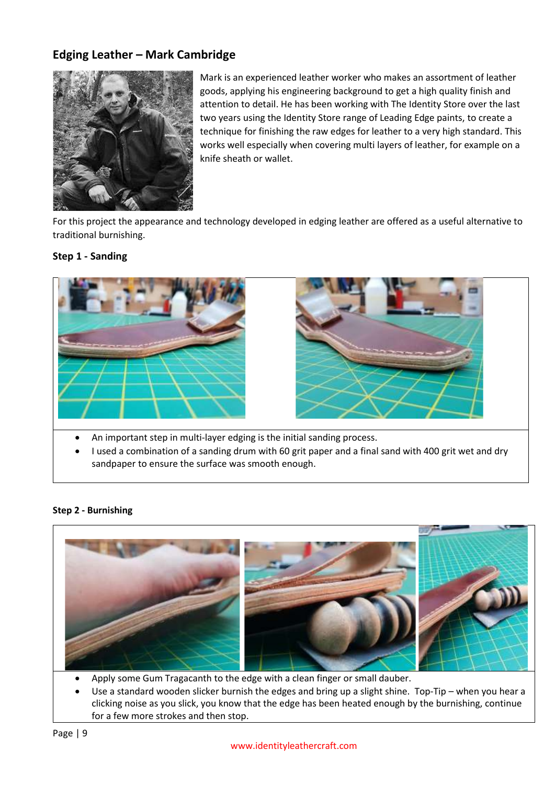## **Edging Leather – Mark Cambridge**



Mark is an experienced leather worker who makes an assortment of leather goods, applying his engineering background to get a high quality finish and attention to detail. He has been working with The Identity Store over the last two years using the Identity Store range of Leading Edge paints, to create a technique for finishing the raw edges for leather to a very high standard. This works well especially when covering multi layers of leather, for example on a knife sheath or wallet.

For this project the appearance and technology developed in edging leather are offered as a useful alternative to traditional burnishing.

## **Step 1 - Sanding**



#### **Step 2 - Burnishing**



- Apply some Gum Tragacanth to the edge with a clean finger or small dauber.
- Use a standard wooden slicker burnish the edges and bring up a slight shine. Top-Tip when you hear a clicking noise as you slick, you know that the edge has been heated enough by the burnishing, continue for a few more strokes and then stop.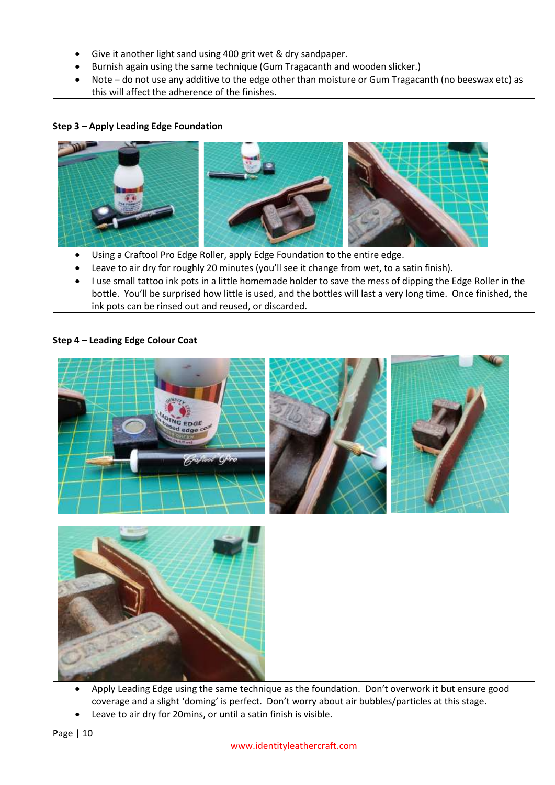- Give it another light sand using 400 grit wet & dry sandpaper.
- Burnish again using the same technique (Gum Tragacanth and wooden slicker.)
- Note do not use any additive to the edge other than moisture or Gum Tragacanth (no beeswax etc) as this will affect the adherence of the finishes.

## **Step 3 – Apply Leading Edge Foundation**



- Using a Craftool Pro Edge Roller, apply Edge Foundation to the entire edge.
- Leave to air dry for roughly 20 minutes (you'll see it change from wet, to a satin finish).
- I use small tattoo ink pots in a little homemade holder to save the mess of dipping the Edge Roller in the bottle. You'll be surprised how little is used, and the bottles will last a very long time. Once finished, the ink pots can be rinsed out and reused, or discarded.

## **Step 4 – Leading Edge Colour Coat**



coverage and a slight 'doming' is perfect. Don't worry about air bubbles/particles at this stage. Leave to air dry for 20mins, or until a satin finish is visible.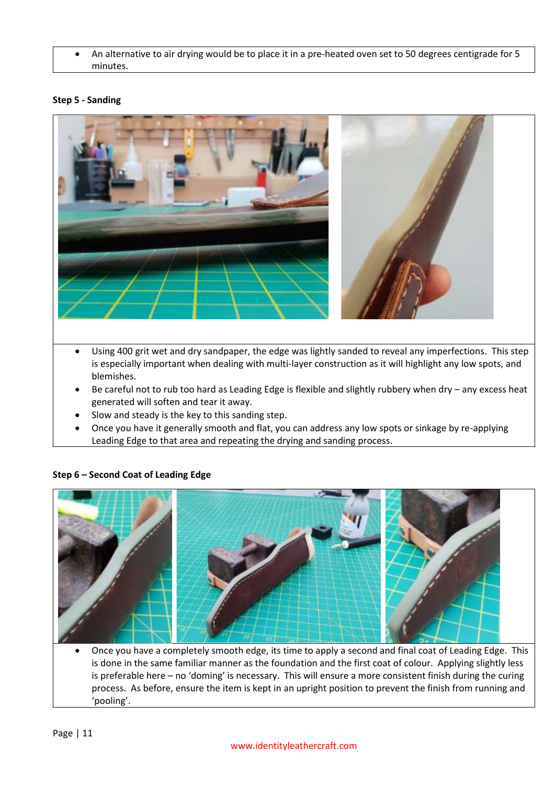• An alternative to air drying would be to place it in a pre-heated oven set to 50 degrees centigrade for 5 minutes.

## **Step 5 - Sanding**



- Using 400 grit wet and dry sandpaper, the edge was lightly sanded to reveal any imperfections. This step is especially important when dealing with multi-layer construction as it will highlight any low spots, and blemishes.
- Be careful not to rub too hard as Leading Edge is flexible and slightly rubbery when dry any excess heat generated will soften and tear it away.
- Slow and steady is the key to this sanding step.
- Once you have it generally smooth and flat, you can address any low spots or sinkage by re-applying Leading Edge to that area and repeating the drying and sanding process.

## **Step 6 – Second Coat of Leading Edge**



• Once you have a completely smooth edge, its time to apply a second and final coat of Leading Edge. This is done in the same familiar manner as the foundation and the first coat of colour. Applying slightly less is preferable here – no 'doming' is necessary. This will ensure a more consistent finish during the curing process. As before, ensure the item is kept in an upright position to prevent the finish from running and 'pooling'.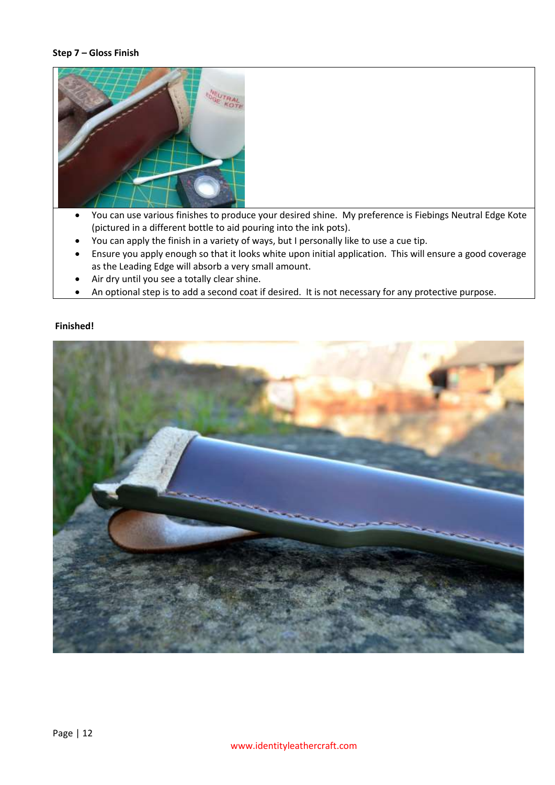## **Step 7 – Gloss Finish**



- You can use various finishes to produce your desired shine. My preference is Fiebings Neutral Edge Kote (pictured in a different bottle to aid pouring into the ink pots).
- You can apply the finish in a variety of ways, but I personally like to use a cue tip.
- Ensure you apply enough so that it looks white upon initial application. This will ensure a good coverage as the Leading Edge will absorb a very small amount.
- Air dry until you see a totally clear shine.
- An optional step is to add a second coat if desired. It is not necessary for any protective purpose.

## **Finished!**